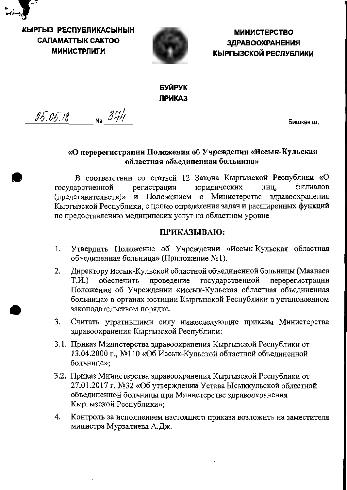

КЫРГЫЗ РЕСПУБЛИКАСЫНЫН САЛАМАТТЫК САКТОО **МИНИСТРЛИГИ** 



**МИНИСТЕРСТВО ЗДРАВООХРАНЕНИЯ** КЫРГЫЗСКОЙ РЕСПУБЛИКИ

# БУЙРУК **ПРИКАЗ**

 $25.05.18$  No  $374$ 

Бишкек ш.

# «О перерегистрации Положения об Учреждении «Иссык-Кульская областная объединенная больница»

В соответствии со статьей 12 Закона Кыргызской Республики «О государственной юридических филиалов регистрацин лиц, (представительств)» и Положением о Министерстве здравоохранения Кыргызской Республики, с целью определения задач и расширенных функций по предоставлению медицинских услуг на областном уровне

# ПРИКАЗЫВАЮ:

- Утвердить Положенне об Учреждении «Иссык-Кульская областная 1. объединенная больница» (Приложение №1).
- Директору Иссык-Кульской областной объединенной больницы (Маанаев  $2.$ проведение государственной перерегистрацни Т.И.) обеспечить Положения об Учреждении «Иссык-Кульская областная объединенная больница» в органах юстиции Кыргызской Республики в установленном законодательством порядке.
- Считать утратившими силу нижеследующие приказы Министерства  $3.$ здравоохранения Кыргызской Республики:
- 3.1. Приказ Миннстерства здравоохранения Кыргызской Республики от 13.04.2000 г., №110 «Об Иссык-Кульской областной объединенной больнице»;
- 3.2. Приказ Министерства здравоохранения Кыргызской Республики от 27.01.2017 г. №32 «Об утверждении Устава Ысыккульской областной объединенной больницы при Министерстве здравоохранения Кыргызской Республики»;
- 4. Контроль за исполнением настоящего приказа возложнть на заместителя министра Мурзалиева А.Дж.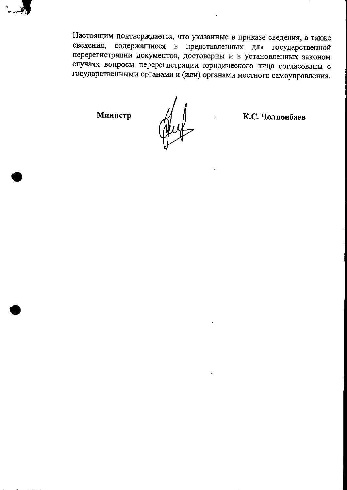

Настоящим подтверждается, что указанные в приказе сведения, а также сведения, содержащиеся в представленных для государственной перерегистрации документов, достоверны и в установленных законом случаях вопросы перерегистрации юридического лица согласованы с государственными органами и (или) органами местного самоуправления.

Министр

Muf

К.С. Чолпонбаев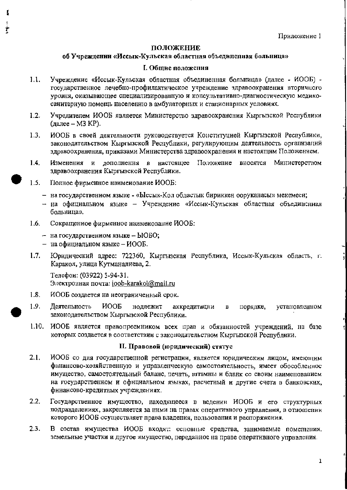# ПОЛОЖЕНИЕ

# об Учреждении «Иссык-Кульская областная объединенная больница»

## **I. Общие положения**

- $1.1.$ Учреждение «Иссык-Кульская областная объединенная больница» (далее - ИООБ) государственное лечебно-профилактическое учреждение здравоохранения вторичного уровня, оказывающее специализированную и консультативно-диагностическую медикосанитарную помощь населению в амбулаторных и стационарных условиях.
- $1.2.$ Учредителем ИООБ является Министерство здравоохранения Кыргызской Республики (далее - МЗ КР).
- ИООБ в своей деятельности руководствуется Конституцией Кыргызской Республики,  $1.3.$ законодательством Кыргызской Республики, регулирующим деятельность организаций здравоохранения, приказами Министерства здравоохранения и настоящим Положением.
- $1.4.$ Изменения и дополнення в настоящее Положение вносятся Министерством здравоохранения Кыргызской Республики.
- $1.5.$ Полное фирменное наименование ИООБ:
	- на государствениом языке «Ыссык-Кол областык бириккен ооруканасы» мекемеси;
	- на официальном языке Учреждение «Иссык-Кульская областная объединсяная больница».
- Сокращениое фирменное наимеиование ИООБ:  $1.6.$ 
	- на государствениом языке  $b$ IOBO;
	- на официальном языке ИООБ.
- Юридический адрес: 722360, Кыргызская Республика, Иссык-Кульская область, г.  $1.7.$ Каракол, улица Кутманалиева, 2.

Телефон: (03922) 5-94-31. Электронная почта: joob-karakol@mail.ru

- ИООБ создается на неограниченный срок.  $1.8.$
- 1.9. Деятельность **NOOP** нодлежит аккредитацни порядке, установленном  $\mathbf{B}$ законодательством Кыргызской Республики.
- $1.10.$ ИООБ является правопреемником всех прав и обязанностей учреждений, на базе которых создается в соответствии с законодательством Кыргызской Республики.

# II. Правовой (юридический) статус

- $2.1.$ ИООБ со дня государственной регистрации, является юридическим лицом, имеющим финансово-хозяйственную и управленческую самостоятельность, имеет обособленнос имущество, самостоятельный баланс, печать, штамны и бланк со своим наименованием на государствениом и официальном языках, расчетный и другие счета в банковских, финаисово-кредитных учреждениях.
- $2.2.$ Государственное имущество, находящееся в ведении ИООБ и его структурных подразделениях, закрепляется за ними на правах оперативного управления, в отношении которого ИООБ осуществляет права владения, пользования и распоряжения.
- $2.3.$ В состав имущества ИООБ входят: основные средства, занимаемые помсицения, земельные участки и другое имущество, переданное на праве оперативного управления.

 $\mathbf 1$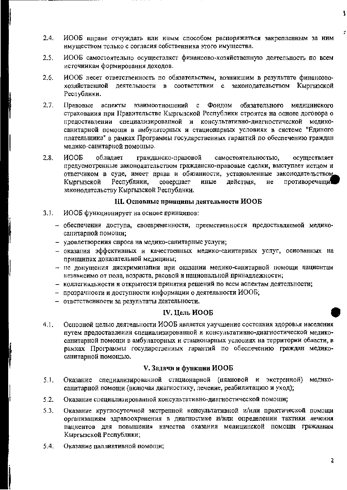- $2.4.$ ИООБ вправе отчуждать нли иным способом распоряжаться закрепленным за ним имуществом только с согласия собственника этого имущества.
- $2.5.$ ИООБ самостоятельно осуществляет финансово-хозяйственную деятельность по всем источиикам формировання доходов.
- $2.6.$ ИООБ несет ответствеиность по обязательствам, возникшим в результате финансовохозяйственной деятельности в соответствии с законодательством Кыргызской Республики.
- $2.7.$ Правовые аспекты взаимоотношений с Фонлом обязательного мелицииского страховаиия при Правительстве Кыргызской Республики строятся на основе договора о предоставлении специализированиой и консультативно-диагностической медикосанитарной помощи в амбулаторных и стационарных условиях в системе "Единого плательщика" в рамках Программы государствениых гарантий по обеспечению граждан медико-санитарной помощью.
- $2.8.$ **NOOP** облалает гражданско-правовой самостоятельностью, осуществляет предусмотренные законодательством гражданско-правовые сделки, выступает истцом и ответчиком в суде, имеет права и обязаниости, установленные законодательством Кыргызской Республики. совершает иные действия. не противоречащи законодательству Кыргызской Республики.

#### III. Основные принципы деятельности ИООБ

- $3.1.$ ИООБ функционирует на основе принципов:
	- обеспечения доступа, своевременности, преемственности предоставляемой медикосанитарпой помощи;
	- удовлетворения спроса на медико-санитарные услуги;
	- оказания эффективных и качественных медико-саиитарных услуг, осиованных на принципах доказательной медицины;
	- не донущения дискриминации нри оказании медико-санитарной помощи пациентам независимо от пола, возраста, расовой и пациональной принадлежности;
	- коллегиальности и открытости принятия решений по всем аспектам деятельности;
	- прозрачности и доступности информации о деятельности ИООБ;
	- ответственности за результаты деятельности.

#### IV. Цель ИООБ

 $4.1.$ Основной целью деятельности ИООБ является улучшение состояния здоровья иаселения путем предоставления специализированной и консультативно-диагностической медикосанитарной помощи в амбулаторных и стационарных условиях на территории области, в рамках Программы государствениых гарантий по обеспечению граждан медикосанитарной помощью.

### V. Задачи и функции ИООБ

- Оказание специализированной стационарной (плановой и экстренной)  $5.1.$ медикосанитарной помощи (включая диагностику, лечение, реабилитацию и уход);
- $5.2.$ Оказание специализированной консультативно-диагностической помощи;
- Оказание круглосуточной экстренной консультативной и/или практической помощи  $5.3.$ организациям здравоохранения в диагностике и/или определении тактики лечения пациентов для повышения качества оказания медицинской помощи гражданам Кыргызской Республики;
- $5.4.$ Оказание паллиативной помощи: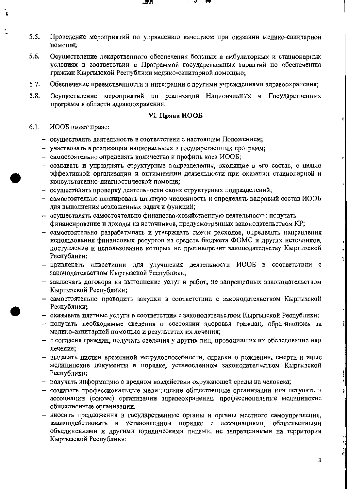- $5.5.$ Проведение мероприятий по управлению качеством при оказании медико-санитарной помощи;
- 5.6. Осуществление лекарственного обеспечения больных в амбулаторных и стационарных условиях в соответствии с Программой государственных гарантий по обеспечению граждан Кыргызской Республики медико-санитариой помощью;
- $5.7.$ Обеспечение преемственности и интеграции с другими учреждениями здравоохранения;
- $5.8.$ Осуществление мероприятий по реализации Национальных и Государственных программ в области здравоохранения.

#### VI. Права ИООБ

- $6.1.$ ИООБ имеет право:
	- осуществлять деятельность в соответствии с настоящим Положением;
	- участвовать в реализации национальных и государственных программ;
	- самостоятельно определять количество и профиль коек ИООБ;
	- создавать и упразднять структурные подразделения, входящие в его состав, с целью эффективной организации и оптимизации деятельности при оказанин стационарной и консультативно-диагностической помощи;
	- осуществлять проверку деятельности своих структурных подразделений;
	- самостоятельно планировать штатиую числениость и определять кадровый состав ИООБ для вынолнения возложенных задач и функций;
	- осуществлять самостоятельно финансово-хозяйственную деятельность: получать финансирование и доходы из источников, предусмотренных законодательством КР;
	- самостоятельно разрабатывать и утверждать сметы расходов, определять направления использования финансовых ресурсов из средств бюджета ФОМС и других источииков. поступление и использование которых не противоречит законодательству Кыргызской Республики;
	- привлекать инвестиции для улучшения деятельности ИООБ в соответствии с законодательством Кыргызской Республики;
	- заключать договора на выполнение услуг и работ, не запрещенных законодательством Кыргызской Республики;
	- самостоятельно проводить закупки в соответствии с законодательством Кыргызской Республнки:
	- оказывать платные услуги в соответствии с законодательством Кыргызской Республики;
	- получать пеобходимые сведения о состоянии здоровья граждан, обратившихся за медико-санитарной помощью и результатах их лечения;
	- с согласия граждан, получать сведения у других лиц, проводивших их обследование или лечение;
	- выдавать листки времениой нетрудоспособности, справки о рождении, смерти и иные медиципские документы в порядке, установленном законодательством Кыргызской Республики;
	- получать информацию о вредном воздействии окружающей среды на человека;
	- создавать профессиональные медицинские общественные организации или вступать в ассоциацин (союзы) органнзацин здравоохранения, профессиональные медицинские общественные органнзации.
	- виосить предложения в государственные органы и органы местного самоуправления, взаимодействовать в установленном порядке с ассоциациями, общественными объедииениями и другими юрндическими лицами, не запрещенными на территории Кыргызской Республики;

з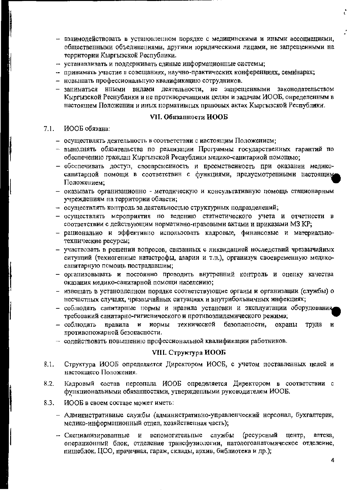- взаимодействовать в установленном порядке с медицинскими и иными ассоциациями, общественными объединениями, другими юридическими лицами, не запрещенными на территории Кыргызской Республики.
- устанавливать и поддерживать единые информационные системы;
- принимать участие в совещаниях, научно-практических конференциях, семинарах;
- новышать профессиональную квалификацию сотрудников.
- зациматься иными видами деятельности, не запрещенными законодательством  $\overline{\phantom{0}}$ Кыргызской Реснублики и не противоречащими целям и задачам ИООБ, онределенным в настоящем Положении и иных пормативных правовых актах Кыргызской Республики.

#### VII. Обязанности ИООБ

#### $7.1.$ ИООБ обязана:

- осуществлять деятельность в соответствии с иастоящим Положением;
- выноднять обязательства по реализации Программы государственных гарантий по обеспечению граждан Кыргызской Реснублики медико-санитариой помощью;
- обеспечивать доступ, своевременность и преемственность при оказании медикосанитарной помощи в соответствин с функциями, предусмотрениыми настоящим Положением;
- оказывать организационно методическую и консультативную помощь стационарным учреждениям на территории области;
- осуществлять контроль за деятельностью структурных подразделений;
- осуществлять мероприятия по ведению статистического учета и отчетности в соответствии с действующим нормативно-правовыми актами и приказами МЗ КР;
- рациональио и эффективно использовать кадровые, финансовые и материальиотехнические ресурсы;
- участвовать в решении вопросов, связанных с ликвидацией носледствий чрезвычайных ситуаций (техиогениые катастрофы, аварии и т.п.), организуя своевременную медикосанитарную помощь пострадавшим;
- организовывать и постоянно проводить внутренний контроль и оценку качества оказания медико-санитарной помощи населению;
- извещать в установленном порядке соответствующие органы и организации (службы) о несчастных случаях, чрезвычайных ситуациях и внутрибольничных инфекциях;
- соблюдать сапитарные нормы и нравила установки и эксплуатации оборудования требований санитарно-гигиенического и противоэпидемического режима;
- иормы технической безопасности, охраны правила  $\mathbf{H}$ труда и - соблюдать противопожарной безопасности.
- содействовать повышению профессиональной квалификации работников.

#### VIII. Структура ИООБ

- Структура ИООБ определяется Дирсктором ИООБ, с учетом поставленных целей и  $8.1.$ настоящего Положения.
- Кадровый состав персонала ИООБ определяется Директором в соответствии с  $8,2.$ функциональиыми обязанностями, утвержденными руководителем ИООБ.
- 8.3. ИООБ в своем составе может иметь:
	- Адмипистративиые службы (административно-управленческий нерсонал, бухгалтерия, медико-информационный отдел, хозяйственная часть);
	- (ресурсный и вспомогательные службы центр. аптека, - Специализированные операционный блок, отделение трансфузиологии, патологоанатомическое отделение, пищеблок, ЦСО, прачечная, гараж, склады, архив, библиотека и др.);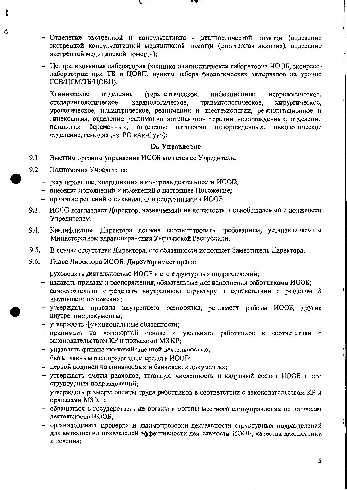- Отделение экстренной и консультативно диагностической помощи (отделение экстренной консультативной медицинской номощи (санитарная авиация), отделение экстренной медицинской помощи);
- Централизованная лаборатория (клинико-диагностическая лаборатория ИООБ, экснресслаборатории при ТБ и ЦОВП, нункты забора биологических матерналов на уровне ГСВ/ЦСМ/ТБ/ЦОВП);
- Клинические отделения (терапевтическое, инфекционное, неврологическое, отоларингологическое, кардиологическое, травматологическое, хирургическое, урологическое, педиатрическое, реанимации и анестезиологии, реабилитационное и гинекология, отделение реанимации интенсивной терании новорожденных, отделение патологии беременных, отделение натологии новорожденных, онкологическое отделение, гемодиалнз, PO «Ак-Суу»);

#### **IX.** Управление

- 9.1. Высшим органом унравления ИООБ является ее Учреднтель.
- $9.2.$ Полномочия Учредителя:
	- регулирование, координация и контроль деятельности ИООБ;
	- внесение дополнений и изменений в настоящее Положение;
	- принятие решений о ликвидации и реорганизации ИООБ.
- 9.3. ИООБ возглавляет Директор, назначаемый на должность и освобождаемый с должности Учредителем.
- 9.4. Квалификация Днректора должна соответствовать требованиям, устанавливаемым Министерством здравоохранения Кыргызской Республики.
- $9.5.$ В случае отсутствия Директора, его обязанности исполняет Заместитель Директора.
- 9.6. Права Директора ИООБ. Директор имеет право:
	- руководить деятельиостью ИООБ и его структурных подразделений;
	- издавать приказы и распоряжения, обязательные для исполнения работниками ИООБ;
	- самостоятельно определять внутреннюю структуру в соответствии с разделом 8 настоящего положения;
	- утверждать правила виутреннего распорядка, регламент работы ИООБ, другис виутренние документы;
	- утверждать фуикциональные обязанности:
	- нринимать на договорной основе и увольнять работников в соответствии с законодательством КР и приказами МЗ КР;
	- унравлять финансово-хозяйственной деятельностью;
	- быть главным распорядителем средств ИООБ;
	- первой подписи на финансовых и банковских документах;
	- утверждать сметы расходов, штатную численность и кадровый состав ИООБ и его структуриых подразделений;
	- утверждать размеры оплаты труда работников в соответствии с законодательством КР и приказами МЗ КР;
	- обращаться в государственные органы и органы местиого самоуправления по вопросам деятельности ИООБ;
	- организовывать проверки и взаимопроверки деятельности структурных подразделений для выполнения показателей эффективности деятельности ИООБ, качества диагностики и лечения;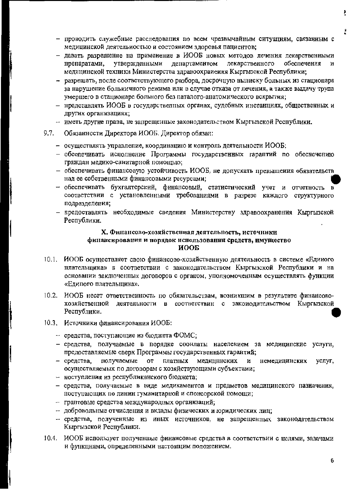- проводить служебные расследования по всем чрезвычайным ситуациям, связаниым с медицинской деятельностью и состоянием здоровья пациентов;
- давать разрешение на примеиение в ИООБ новых методов лечения лекарственными утвержденными департаментом лекарственного обеспечения препаратами,  $\mathbf{H}$ медицинской техники Министерства здравоохраиения Кыргызской Республики;
- разрешать, после соответствующего разбора, досрочную выписку больных из стационара за нарушение больиичного режима или в случае отказа от лечения, а также выдачу трупа умершего в стационаре больного без паталого-анатомического вскрытия;
- нредставлять ИООБ в государственных органах, судебных инстанциях, общественных и других организациях;
- иметь другие права, не запрещенные законодательством Кыргызской Республики.
- $9.7.$ Обязанности Директора ИООБ. Директор обязан:
	- осуществлять управление, координацию и контроль деятельности ИООБ;
	- обеспечивать исполнение Программы государственных гараптий по обеспечению граждан медико-санитарной помощью;
	- обеспечивать финансовую устойчивость ИООБ, не допускать превышения обязательств над ее собственными финансовыми ресурсами;
	- обеспечивать бухгалтерский, финансовый, статистический учет и отчетность в соответствии с установленными требованиями в разрезе каждого структурного подразделепия;
	- предоставлять необходимые сведения Министерству здравоохранения Кыргызской Республики.

# Х. Финансово-хозяйственная деятельность, источники финансирования и порядок использования средств, имущество иооб

- 10.1. ИООБ осуществляет свою финансово-хозяйственную деятельность в системе «Едииого плательщика» в соответствии с законодательством Кыргызской Республики и на основании заключенных договоров с органом, уполномоченным осуществлять функции «Едипого плательщика».
- 10.2. ИООБ несет ответственность по обязательствам, возникшим в результате финансовохозяйственной деятельности в соответствин с закоиодательством Кыргызской Республики.
- 10.3. Источники финансирования ИООБ:
	- средства, поступающие из бюджета ФОМС;
	- средства, получаемые в порядке соонлаты населением за медиципские услуги, предоставляемые сверх Программы государственных гарантий;
	- средства, получаемые от платных медицннских  $\boldsymbol{H}$ немедицинских услуг, осуществляемых по договорам с хозяйствующими субъектами;
	- ноступления из республиканского бюджета;
	- средства, получаемые в виде медикаментов и предметов медицинского пазначения, поступающих по линин гуманитарной и спонсорской помощи;
	- грантовые средства международных организаций;
	- добровольные отчисления и вклады физических и юридических лиц;
	- средства, полученные из иных источников, не запрещенных законодательством Кыргызской Республики.
- 10.4. ИООБ использует полученные финансовые средства в соответствии с целями, задачами и функциями, определенными настоящим положением.